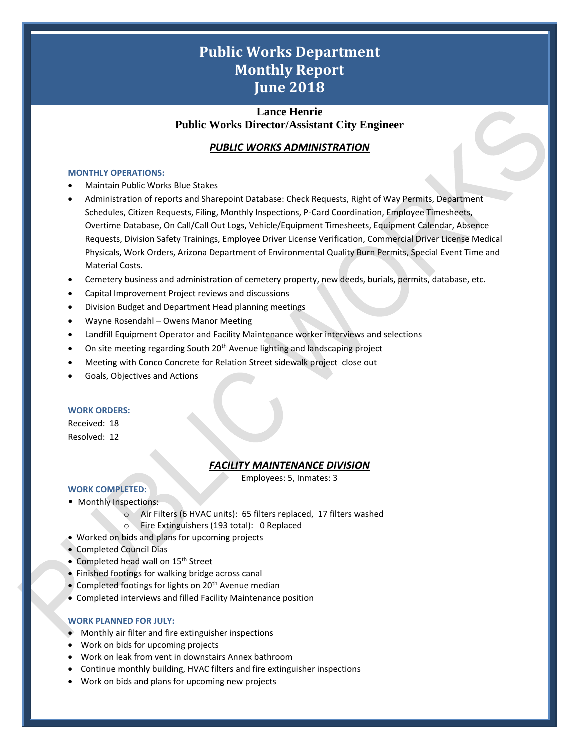# **Public Works Department Monthly Report June 2018**

## **Lance Henrie Public Works Director/Assistant City Engineer**

## *PUBLIC WORKS ADMINISTRATION*

#### **MONTHLY OPERATIONS:**

- Maintain Public Works Blue Stakes
- Administration of reports and Sharepoint Database: Check Requests, Right of Way Permits, Department Schedules, Citizen Requests, Filing, Monthly Inspections, P-Card Coordination, Employee Timesheets, Overtime Database, On Call/Call Out Logs, Vehicle/Equipment Timesheets, Equipment Calendar, Absence Requests, Division Safety Trainings, Employee Driver License Verification, Commercial Driver License Medical Physicals, Work Orders, Arizona Department of Environmental Quality Burn Permits, Special Event Time and Material Costs.
- Cemetery business and administration of cemetery property, new deeds, burials, permits, database, etc.
- Capital Improvement Project reviews and discussions
- Division Budget and Department Head planning meetings
- Wayne Rosendahl Owens Manor Meeting
- Landfill Equipment Operator and Facility Maintenance worker interviews and selections
- On site meeting regarding South 20<sup>th</sup> Avenue lighting and landscaping project
- Meeting with Conco Concrete for Relation Street sidewalk project close out
- Goals, Objectives and Actions

#### **WORK ORDERS:**

Received: 18 Resolved: 12

## *FACILITY MAINTENANCE DIVISION*

1

Employees: 5, Inmates: 3

## **WORK COMPLETED:**

- Monthly Inspections:
	- o Air Filters (6 HVAC units): 65 filters replaced, 17 filters washed
	- o Fire Extinguishers (193 total): 0 Replaced
- Worked on bids and plans for upcoming projects
- Completed Council Dias
- Completed head wall on 15<sup>th</sup> Street
- Finished footings for walking bridge across canal
- Completed footings for lights on  $20<sup>th</sup>$  Avenue median
- Completed interviews and filled Facility Maintenance position

#### **WORK PLANNED FOR JULY:**

- Monthly air filter and fire extinguisher inspections
- Work on bids for upcoming projects
- Work on leak from vent in downstairs Annex bathroom
- Continue monthly building, HVAC filters and fire extinguisher inspections
- Work on bids and plans for upcoming new projects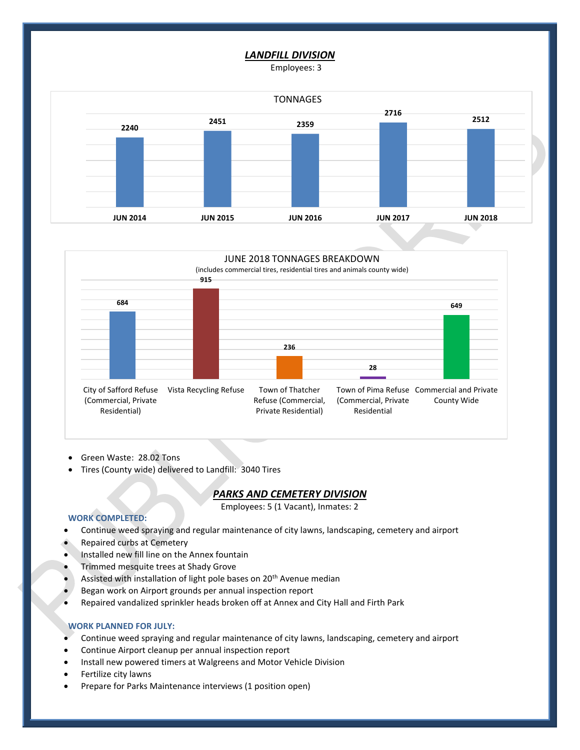#### *LANDFILL DIVISION*

Employees: 3





- Green Waste: 28.02 Tons
- Tires (County wide) delivered to Landfill: 3040 Tires

#### *PARKS AND CEMETERY DIVISION*

Employees: 5 (1 Vacant), Inmates: 2

2

#### **WORK COMPLETED:**

- Continue weed spraying and regular maintenance of city lawns, landscaping, cemetery and airport
- Repaired curbs at Cemetery
- Installed new fill line on the Annex fountain
- Trimmed mesquite trees at Shady Grove
- Assisted with installation of light pole bases on 20<sup>th</sup> Avenue median
- Began work on Airport grounds per annual inspection report
- Repaired vandalized sprinkler heads broken off at Annex and City Hall and Firth Park

#### **WORK PLANNED FOR JULY:**

- Continue weed spraying and regular maintenance of city lawns, landscaping, cemetery and airport
- Continue Airport cleanup per annual inspection report
- Install new powered timers at Walgreens and Motor Vehicle Division
- Fertilize city lawns
- Prepare for Parks Maintenance interviews (1 position open)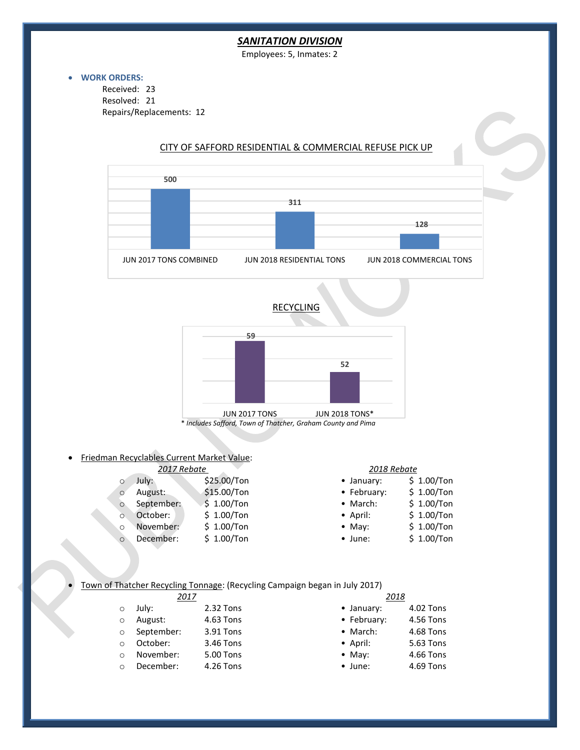## *SANITATION DIVISION*

Employees: 5, Inmates: 2

#### • **WORK ORDERS:**

Received: 23 Resolved: 21 Repairs/Replacements: 12



### CITY OF SAFFORD RESIDENTIAL & COMMERCIAL REFUSE PICK UP







• Friedman Recyclables Current Market Value:

| 2017 Rebate |            |             | 2018 Rebate        |              |  |
|-------------|------------|-------------|--------------------|--------------|--|
| $\Omega$    | July:      | \$25.00/Ton | $\bullet$ January: | $$1.00/T$ on |  |
| $\circ$     | August:    | \$15.00/Ton | • February:        | $$1.00/T$ on |  |
| $\circ$     | September: | \$1.00/Ton  | • March:           | \$1.00/Ton   |  |
| $\circ$     | October:   | \$1.00/Ton  | $\bullet$ April:   | $$1.00/T$ on |  |
| $\circ$     | November:  | \$1.00/Ton  | $\bullet$ May:     | \$1.00/Ton   |  |
| $\circ$     | December:  | \$1.00/Ton  | $\bullet$ June:    | $$1.00/T$ on |  |

#### • Town of Thatcher Recycling Tonnage: (Recycling Campaign began in July 2017)

| 2017     |            |           |                    | 2018      |  |
|----------|------------|-----------|--------------------|-----------|--|
|          | July:      | 2.32 Tons | $\bullet$ January: | 4.02 Tons |  |
| $\circ$  | August:    | 4.63 Tons | • February:        | 4.56 Tons |  |
| $\circ$  | September: | 3.91 Tons | • March:           | 4.68 Tons |  |
| $\Omega$ | October:   | 3.46 Tons | $\bullet$ April:   | 5.63 Tons |  |
| $\Omega$ | November:  | 5.00 Tons | $\bullet$ May:     | 4.66 Tons |  |
|          | December:  | 4.26 Tons | $\bullet$ June:    | 4.69 Tons |  |
|          |            |           |                    |           |  |

3